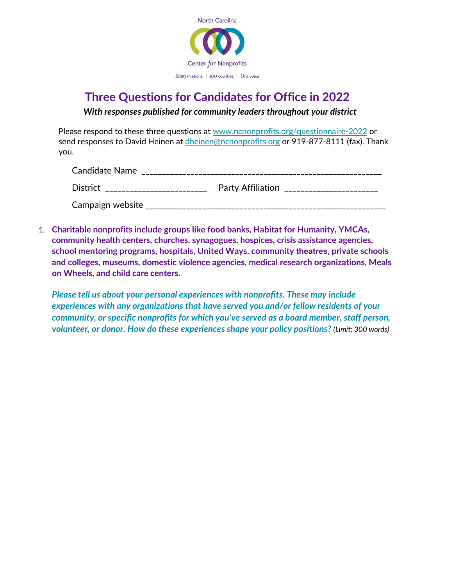

## **Three Questions for Candidates for Office in 2022**

*With responses published for community leaders throughout your district*

Please respond to these three questions at [www.ncnonprofits.org/questionnaire-](http://www.ncnonprofits.org/questionnaire)2022 or send responses to David Heinen at *dheinen@ncnonprofits.org* or 919-877-8111 (fax). Thank you.

| Candidate Name   |                          |
|------------------|--------------------------|
| <b>District</b>  | <b>Party Affiliation</b> |
| Campaign website |                          |

1. **Charitable nonprofits include groups like food banks, Habitat for Humanity, YMCAs, community health centers, churches, synagogues, hospices, crisis assistance agencies, school mentoring programs, hospitals, United Ways, community theatres, private schools and colleges, museums, domestic violence agencies, medical research organizations, Meals on Wheels, and child care centers.**

*Please tell us about your personal experiences with nonprofits. These may include experiences with any organizations that have served you and/or fellow residents of your community, or specific nonprofits for which you've served as a board member, staff person, volunteer, or donor. How do these experiences shape your policy positions? (Limit: 300 words)*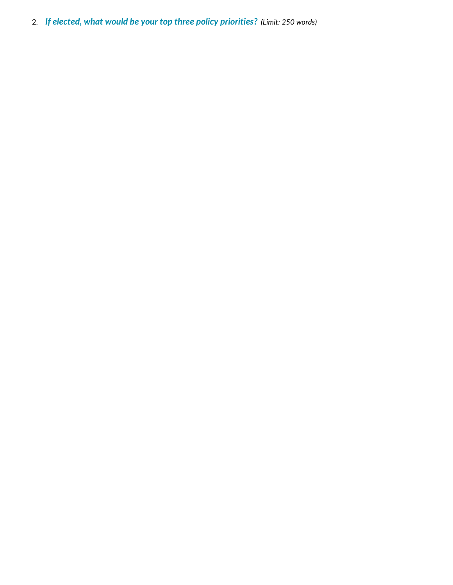2. *If elected, what would be your top three policy priorities? (Limit: 250 words)*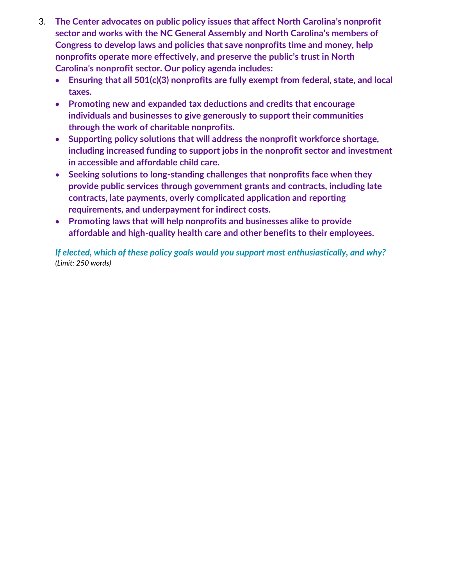- 3. **The Center advocates on public policy issues that affect North Carolina's nonprofit sector and works with the NC General Assembly and North Carolina's members of Congress to develop laws and policies that save nonprofits time and money, help nonprofits operate more effectively, and preserve the public's trust in North Carolina's nonprofit sector. Our policy agenda includes:**
	- **Ensuring that all 501(c)(3) nonprofits are fully exempt from federal, state, and local taxes.**
	- **Promoting new and expanded tax deductions and credits that encourage individuals and businesses to give generously to support their communities through the work of charitable nonprofits.**
	- **Supporting policy solutions that will address the nonprofit workforce shortage, including increased funding to support jobs in the nonprofit sector and investment in accessible and affordable child care.**
	- **Seeking solutions to long-standing challenges that nonprofits face when they provide public services through government grants and contracts, including late contracts, late payments, overly complicated application and reporting requirements, and underpayment for indirect costs.**
	- **Promoting laws that will help nonprofits and businesses alike to provide affordable and high-quality health care and other benefits to their employees.**

*If elected, which of these policy goals would you support most enthusiastically, and why? (Limit: 250 words)*